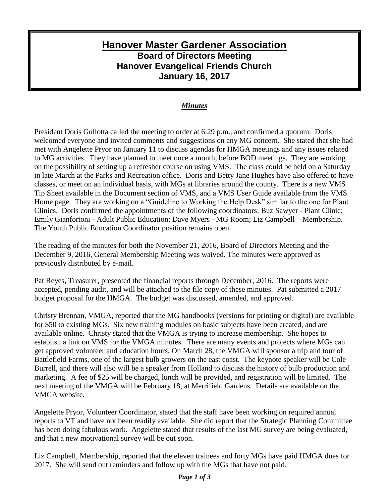## **Hanover Master Gardener Association Board of Directors Meeting Hanover Evangelical Friends Church January 16, 2017**

## *Minutes*

President Doris Gullotta called the meeting to order at 6:29 p.m., and confirmed a quorum. Doris welcomed everyone and invited comments and suggestions on any MG concern. She stated that she had met with Angelette Pryor on January 11 to discuss agendas for HMGA meetings and any issues related to MG activities. They have planned to meet once a month, before BOD meetings. They are working on the possibility of setting up a refresher course on using VMS. The class could be held on a Saturday in late March at the Parks and Recreation office. Doris and Betty Jane Hughes have also offered to have classes, or meet on an individual basis, with MGs at libraries around the county. There is a new VMS Tip Sheet available in the Document section of VMS, and a VMS User Guide available from the VMS Home page. They are working on a "Guideline to Working the Help Desk" similar to the one for Plant Clinics. Doris confirmed the appointments of the following coordinators: Buz Sawyer - Plant Clinic; Emily Gianfortoni - Adult Public Education; Dave Myers - MG Room; Liz Campbell – Membership. The Youth Public Education Coordinator position remains open.

The reading of the minutes for both the November 21, 2016, Board of Directors Meeting and the December 9, 2016, General Membership Meeting was waived. The minutes were approved as previously distributed by e-mail.

Pat Reyes, Treasurer, presented the financial reports through December, 2016. The reports were accepted, pending audit, and will be attached to the file copy of these minutes. Pat submitted a 2017 budget proposal for the HMGA. The budget was discussed, amended, and approved.

Christy Brennan, VMGA, reported that the MG handbooks (versions for printing or digital) are available for \$50 to existing MGs. Six new training modules on basic subjects have been created, and are available online. Christy stated that the VMGA is trying to increase membership. She hopes to establish a link on VMS for the VMGA minutes. There are many events and projects where MGs can get approved volunteer and education hours. On March 28, the VMGA will sponsor a trip and tour of Battlefield Farms, one of the largest bulb growers on the east coast. The keynote speaker will be Cole Burrell, and there will also will be a speaker from Holland to discuss the history of bulb production and marketing. A fee of \$25 will be charged, lunch will be provided, and registration will be limited. The next meeting of the VMGA will be February 18, at Merrifield Gardens. Details are available on the VMGA website.

Angelette Pryor, Volunteer Coordinator, stated that the staff have been working on required annual reports to VT and have not been readily available. She did report that the Strategic Planning Committee has been doing fabulous work. Angelette stated that results of the last MG survey are being evaluated, and that a new motivational survey will be out soon.

Liz Campbell, Membership, reported that the eleven trainees and forty MGs have paid HMGA dues for 2017. She will send out reminders and follow up with the MGs that have not paid.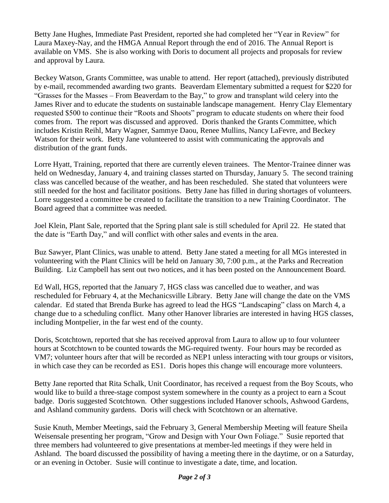Betty Jane Hughes, Immediate Past President, reported she had completed her "Year in Review" for Laura Maxey-Nay, and the HMGA Annual Report through the end of 2016. The Annual Report is available on VMS. She is also working with Doris to document all projects and proposals for review and approval by Laura.

Beckey Watson, Grants Committee, was unable to attend. Her report (attached), previously distributed by e-mail, recommended awarding two grants. Beaverdam Elementary submitted a request for \$220 for "Grasses for the Masses – From Beaverdam to the Bay," to grow and transplant wild celery into the James River and to educate the students on sustainable landscape management. Henry Clay Elementary requested \$500 to continue their "Roots and Shoots" program to educate students on where their food comes from. The report was discussed and approved. Doris thanked the Grants Committee, which includes Kristin Reihl, Mary Wagner, Sammye Daou, Renee Mullins, Nancy LaFevre, and Beckey Watson for their work. Betty Jane volunteered to assist with communicating the approvals and distribution of the grant funds.

Lorre Hyatt, Training, reported that there are currently eleven trainees. The Mentor-Trainee dinner was held on Wednesday, January 4, and training classes started on Thursday, January 5. The second training class was cancelled because of the weather, and has been rescheduled. She stated that volunteers were still needed for the host and facilitator positions. Betty Jane has filled in during shortages of volunteers. Lorre suggested a committee be created to facilitate the transition to a new Training Coordinator. The Board agreed that a committee was needed.

Joel Klein, Plant Sale, reported that the Spring plant sale is still scheduled for April 22. He stated that the date is "Earth Day," and will conflict with other sales and events in the area.

Buz Sawyer, Plant Clinics, was unable to attend. Betty Jane stated a meeting for all MGs interested in volunteering with the Plant Clinics will be held on January 30, 7:00 p.m., at the Parks and Recreation Building. Liz Campbell has sent out two notices, and it has been posted on the Announcement Board.

Ed Wall, HGS, reported that the January 7, HGS class was cancelled due to weather, and was rescheduled for February 4, at the Mechanicsville Library. Betty Jane will change the date on the VMS calendar. Ed stated that Brenda Burke has agreed to lead the HGS "Landscaping" class on March 4, a change due to a scheduling conflict. Many other Hanover libraries are interested in having HGS classes, including Montpelier, in the far west end of the county.

Doris, Scotchtown, reported that she has received approval from Laura to allow up to four volunteer hours at Scotchtown to be counted towards the MG-required twenty. Four hours may be recorded as VM7; volunteer hours after that will be recorded as NEP1 unless interacting with tour groups or visitors, in which case they can be recorded as ES1. Doris hopes this change will encourage more volunteers.

Betty Jane reported that Rita Schalk, Unit Coordinator, has received a request from the Boy Scouts, who would like to build a three-stage compost system somewhere in the county as a project to earn a Scout badge. Doris suggested Scotchtown. Other suggestions included Hanover schools, Ashwood Gardens, and Ashland community gardens. Doris will check with Scotchtown or an alternative.

Susie Knuth, Member Meetings, said the February 3, General Membership Meeting will feature Sheila Weisensale presenting her program, "Grow and Design with Your Own Foliage." Susie reported that three members had volunteered to give presentations at member-led meetings if they were held in Ashland. The board discussed the possibility of having a meeting there in the daytime, or on a Saturday, or an evening in October. Susie will continue to investigate a date, time, and location.